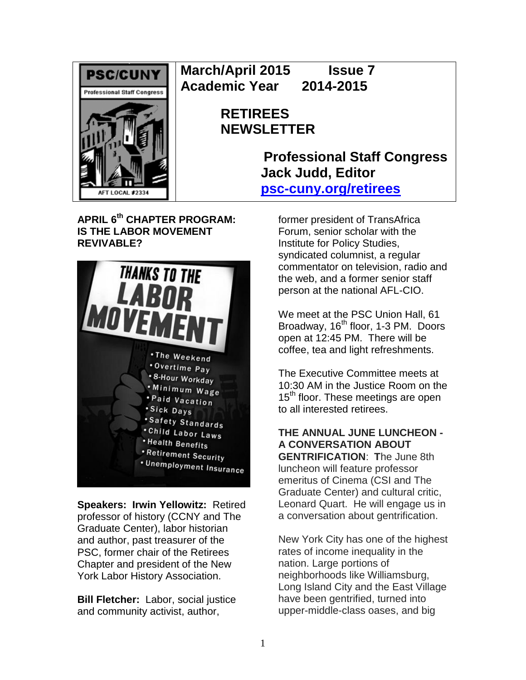

**March/April 2015 Issue 7 Academic Year 2014-2015**

# **RETIREES NEWSLETTER**

**Professional Staff Congress Jack Judd, Editor [psc-cuny.org/retirees](http://www.psc-cuny.org/retirees)**

**APRIL 6th CHAPTER PROGRAM: IS THE LABOR MOVEMENT REVIVABLE?** 



**Speakers: Irwin Yellowitz:** Retired professor of history (CCNY and The Graduate Center), labor historian and author, past treasurer of the PSC, former chair of the Retirees Chapter and president of the New York Labor History Association.

**Bill Fletcher:** Labor, social justice and community activist, author,

former president of TransAfrica Forum, senior scholar with the Institute for Policy Studies, syndicated columnist, a regular commentator on television, radio and the web, and a former senior staff person at the national AFL-CIO.

We meet at the PSC Union Hall, 61 Broadway, 16<sup>th</sup> floor, 1-3 PM. Doors open at 12:45 PM. There will be coffee, tea and light refreshments.

The Executive Committee meets at 10:30 AM in the Justice Room on the 15<sup>th</sup> floor. These meetings are open to all interested retirees.

### **THE ANNUAL JUNE LUNCHEON - A CONVERSATION ABOUT GENTRIFICATION**: **T**he June 8th luncheon will feature professor

emeritus of Cinema (CSI and The Graduate Center) and cultural critic, Leonard Quart. He will engage us in a conversation about gentrification.

New York City has one of the highest rates of income inequality in the nation. Large portions of neighborhoods like Williamsburg, Long Island City and the East Village have been gentrified, turned into upper-middle-class oases, and big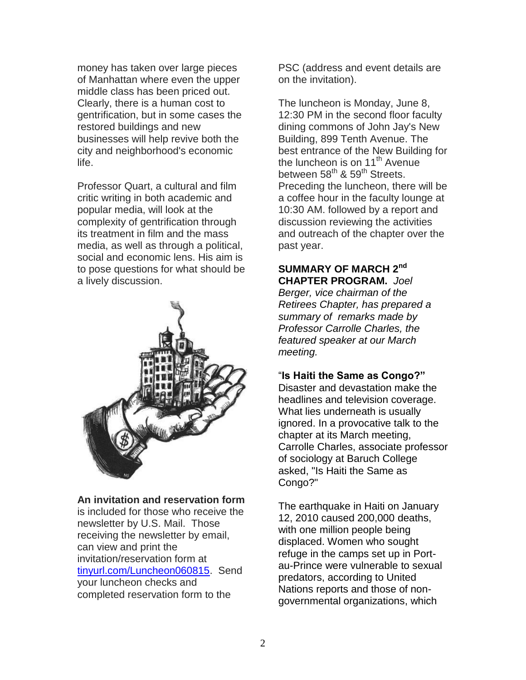money has taken over large pieces of Manhattan where even the upper middle class has been priced out. Clearly, there is a human cost to gentrification, but in some cases the restored buildings and new businesses will help revive both the city and neighborhood's economic life.

Professor Quart, a cultural and film critic writing in both academic and popular media, will look at the complexity of gentrification through its treatment in film and the mass media, as well as through a political, social and economic lens. His aim is to pose questions for what should be a lively discussion.



#### **An invitation and reservation form**

is included for those who receive the newsletter by U.S. Mail. Those receiving the newsletter by email, can view and print the invitation/reservation form at [tinyurl.com/Luncheon060815.](http://tinyurl.com/Luncheon060815) Send your luncheon checks and completed reservation form to the

PSC (address and event details are on the invitation).

The luncheon is Monday, June 8, 12:30 PM in the second floor faculty dining commons of John Jay's New Building, 899 Tenth Avenue. The best entrance of the New Building for the luncheon is on 11<sup>th</sup> Avenue between 58<sup>th</sup> & 59<sup>th</sup> Streets. Preceding the luncheon, there will be a coffee hour in the faculty lounge at 10:30 AM. followed by a report and discussion reviewing the activities and outreach of the chapter over the past year.

#### **SUMMARY OF MARCH 2nd CHAPTER PROGRAM.** *Joel*

*Berger, vice chairman of the Retirees Chapter, has prepared a summary of remarks made by Professor Carrolle Charles, the featured speaker at our March meeting.*

#### "**Is Haiti the Same as Congo?"**

Disaster and devastation make the headlines and television coverage. What lies underneath is usually ignored. In a provocative talk to the chapter at its March meeting, Carrolle Charles, associate professor of sociology at Baruch College asked, "Is Haiti the Same as Congo?"

The earthquake in Haiti on January 12, 2010 caused 200,000 deaths, with one million people being displaced. Women who sought refuge in the camps set up in Portau-Prince were vulnerable to sexual predators, according to United Nations reports and those of nongovernmental organizations, which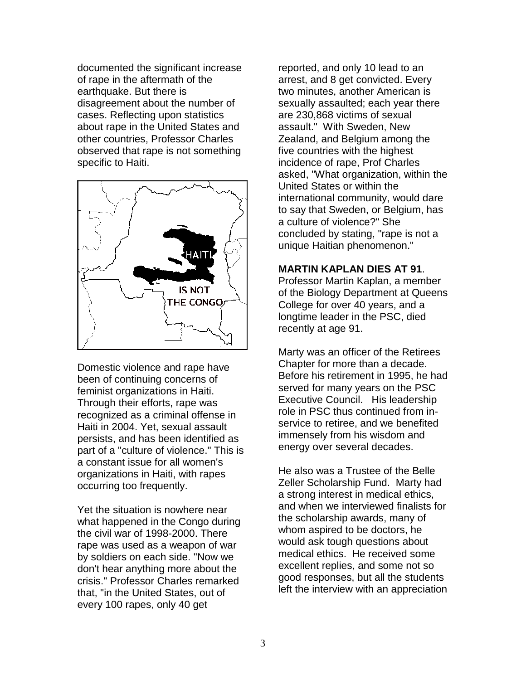documented the significant increase of rape in the aftermath of the earthquake. But there is disagreement about the number of cases. Reflecting upon statistics about rape in the United States and other countries, Professor Charles observed that rape is not something specific to Haiti.



Domestic violence and rape have been of continuing concerns of feminist organizations in Haiti. Through their efforts, rape was recognized as a criminal offense in Haiti in 2004. Yet, sexual assault persists, and has been identified as part of a "culture of violence." This is a constant issue for all women's organizations in Haiti, with rapes occurring too frequently.

Yet the situation is nowhere near what happened in the Congo during the civil war of 1998-2000. There rape was used as a weapon of war by soldiers on each side. "Now we don't hear anything more about the crisis." Professor Charles remarked that, "in the United States, out of every 100 rapes, only 40 get

reported, and only 10 lead to an arrest, and 8 get convicted. Every two minutes, another American is sexually assaulted; each year there are 230,868 victims of sexual assault." With Sweden, New Zealand, and Belgium among the five countries with the highest incidence of rape, Prof Charles asked, "What organization, within the United States or within the international community, would dare to say that Sweden, or Belgium, has a culture of violence?" She concluded by stating, "rape is not a unique Haitian phenomenon."

#### **MARTIN KAPLAN DIES AT 91**.

Professor Martin Kaplan, a member of the Biology Department at Queens College for over 40 years, and a longtime leader in the PSC, died recently at age 91.

Marty was an officer of the Retirees Chapter for more than a decade. Before his retirement in 1995, he had served for many years on the PSC Executive Council. His leadership role in PSC thus continued from inservice to retiree, and we benefited immensely from his wisdom and energy over several decades.

He also was a Trustee of the Belle Zeller Scholarship Fund. Marty had a strong interest in medical ethics, and when we interviewed finalists for the scholarship awards, many of whom aspired to be doctors, he would ask tough questions about medical ethics. He received some excellent replies, and some not so good responses, but all the students left the interview with an appreciation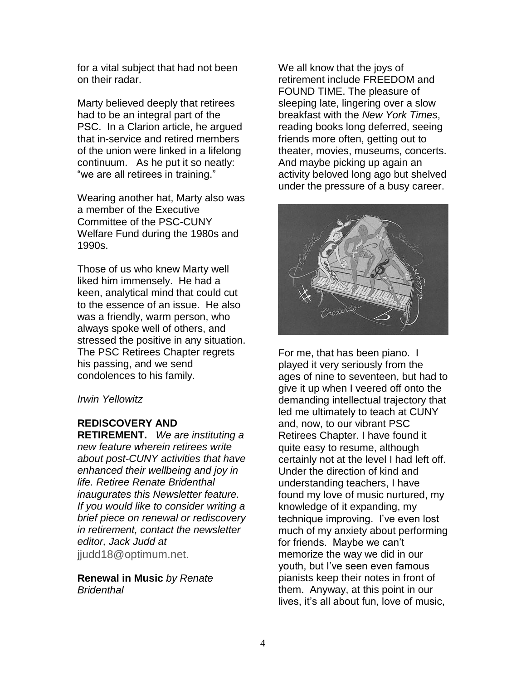for a vital subject that had not been on their radar.

Marty believed deeply that retirees had to be an integral part of the PSC. In a Clarion article, he argued that in-service and retired members of the union were linked in a lifelong continuum. As he put it so neatly: "we are all retirees in training."

Wearing another hat, Marty also was a member of the Executive Committee of the PSC-CUNY Welfare Fund during the 1980s and 1990s.

Those of us who knew Marty well liked him immensely. He had a keen, analytical mind that could cut to the essence of an issue. He also was a friendly, warm person, who always spoke well of others, and stressed the positive in any situation. The PSC Retirees Chapter regrets his passing, and we send condolences to his family.

#### *Irwin Yellowitz*

## **REDISCOVERY AND**

**RETIREMENT.** *We are instituting a new feature wherein retirees write about post-CUNY activities that have enhanced their wellbeing and joy in life. Retiree Renate Bridenthal inaugurates this Newsletter feature. If you would like to consider writing a brief piece on renewal or rediscovery in retirement, contact the newsletter editor, Jack Judd at*  jjudd18@optimum.net.

**Renewal in Music** *by Renate Bridenthal*

We all know that the joys of retirement include FREEDOM and FOUND TIME. The pleasure of sleeping late, lingering over a slow breakfast with the *New York Times*, reading books long deferred, seeing friends more often, getting out to theater, movies, museums, concerts. And maybe picking up again an activity beloved long ago but shelved under the pressure of a busy career.



For me, that has been piano. I played it very seriously from the ages of nine to seventeen, but had to give it up when I veered off onto the demanding intellectual trajectory that led me ultimately to teach at CUNY and, now, to our vibrant PSC Retirees Chapter. I have found it quite easy to resume, although certainly not at the level I had left off. Under the direction of kind and understanding teachers, I have found my love of music nurtured, my knowledge of it expanding, my technique improving. I've even lost much of my anxiety about performing for friends. Maybe we can't memorize the way we did in our youth, but I've seen even famous pianists keep their notes in front of them. Anyway, at this point in our lives, it's all about fun, love of music,